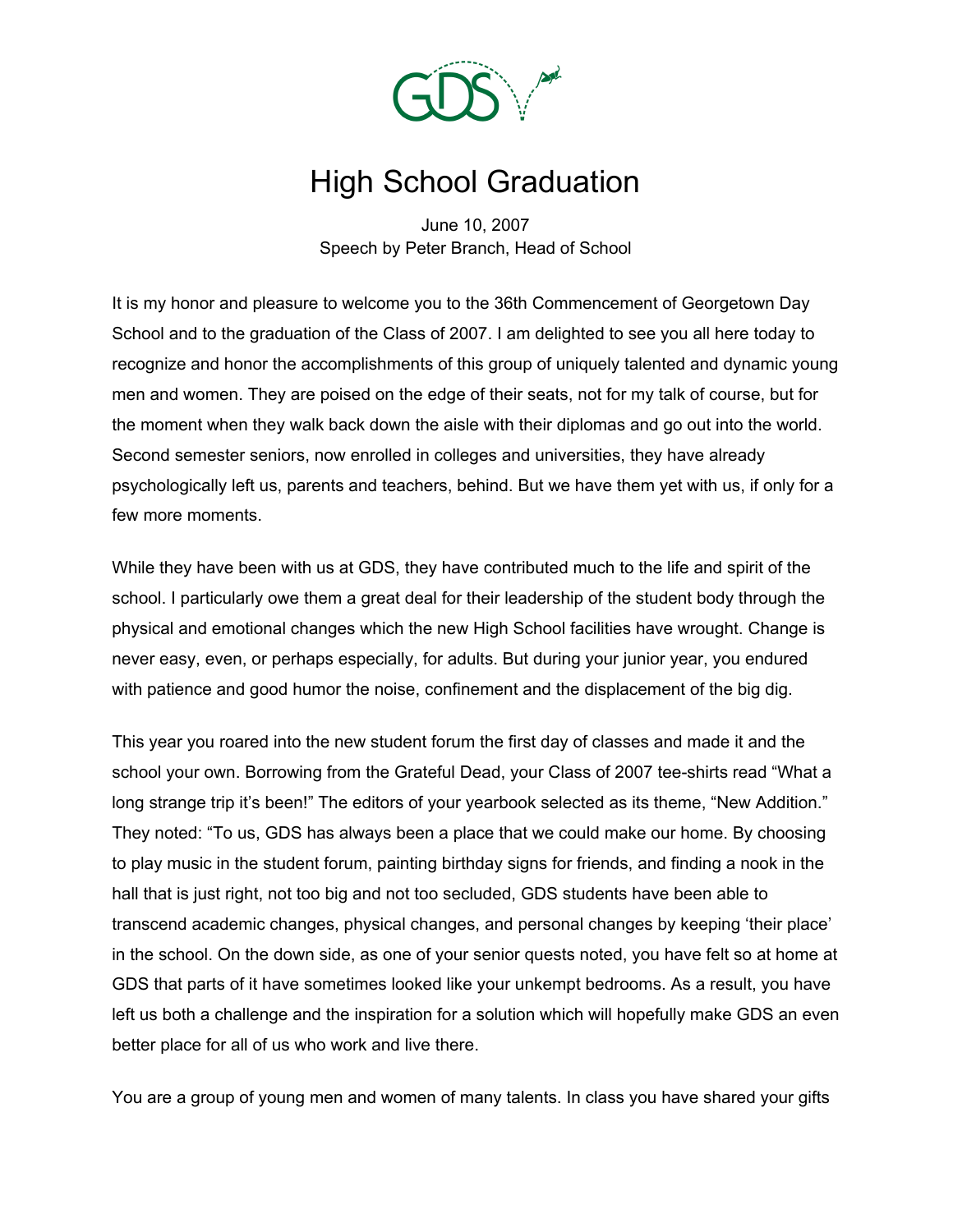

## High School Graduation

June 10, 2007 Speech by Peter Branch, Head of School

It is my honor and pleasure to welcome you to the 36th Commencement of Georgetown Day School and to the graduation of the Class of 2007. I am delighted to see you all here today to recognize and honor the accomplishments of this group of uniquely talented and dynamic young men and women. They are poised on the edge of their seats, not for my talk of course, but for the moment when they walk back down the aisle with their diplomas and go out into the world. Second semester seniors, now enrolled in colleges and universities, they have already psychologically left us, parents and teachers, behind. But we have them yet with us, if only for a few more moments.

While they have been with us at GDS, they have contributed much to the life and spirit of the school. I particularly owe them a great deal for their leadership of the student body through the physical and emotional changes which the new High School facilities have wrought. Change is never easy, even, or perhaps especially, for adults. But during your junior year, you endured with patience and good humor the noise, confinement and the displacement of the big dig.

This year you roared into the new student forum the first day of classes and made it and the school your own. Borrowing from the Grateful Dead, your Class of 2007 tee-shirts read "What a long strange trip it's been!" The editors of your yearbook selected as its theme, "New Addition." They noted: "To us, GDS has always been a place that we could make our home. By choosing to play music in the student forum, painting birthday signs for friends, and finding a nook in the hall that is just right, not too big and not too secluded, GDS students have been able to transcend academic changes, physical changes, and personal changes by keeping 'their place' in the school. On the down side, as one of your senior quests noted, you have felt so at home at GDS that parts of it have sometimes looked like your unkempt bedrooms. As a result, you have left us both a challenge and the inspiration for a solution which will hopefully make GDS an even better place for all of us who work and live there.

You are a group of young men and women of many talents. In class you have shared your gifts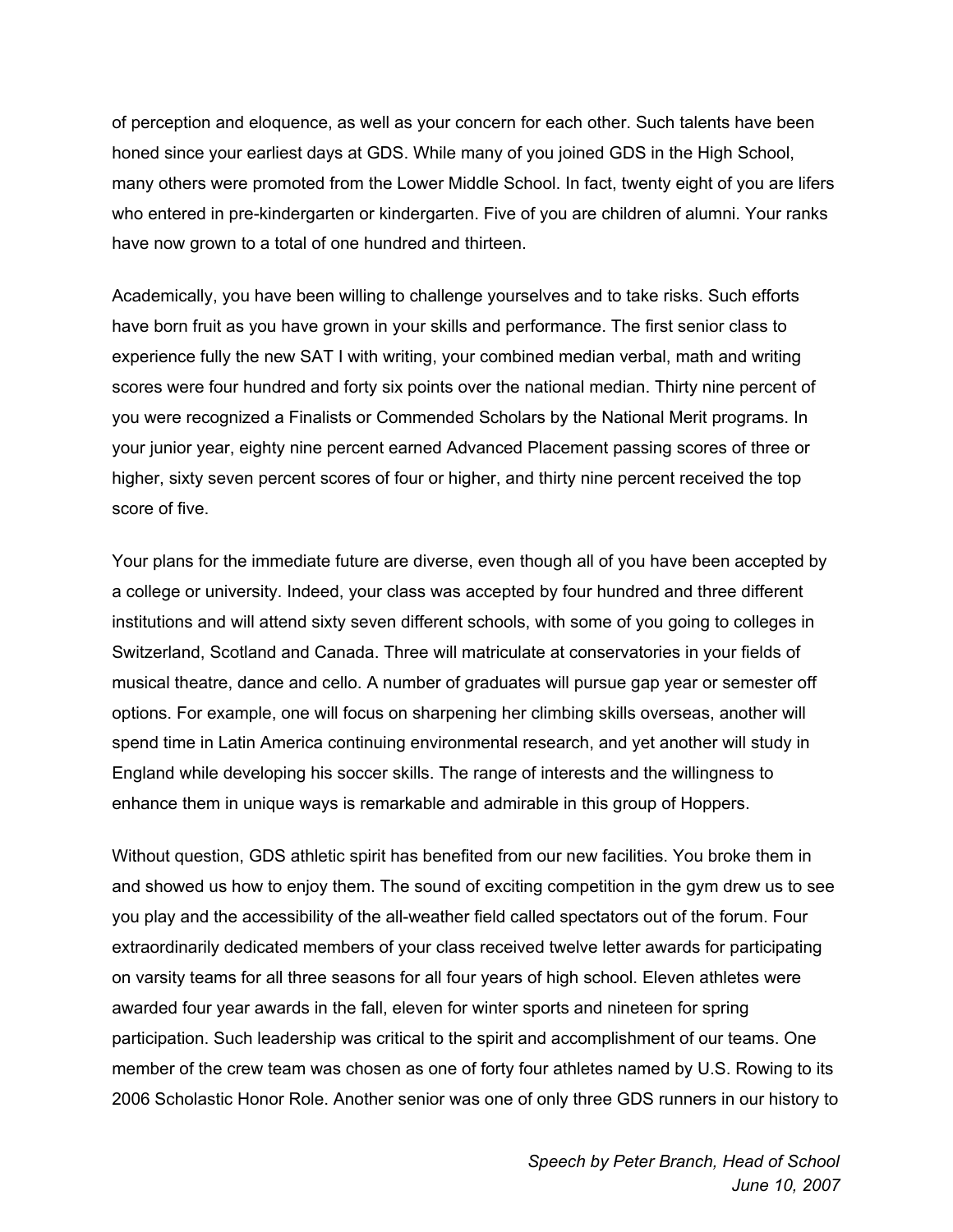of perception and eloquence, as well as your concern for each other. Such talents have been honed since your earliest days at GDS. While many of you joined GDS in the High School, many others were promoted from the Lower Middle School. In fact, twenty eight of you are lifers who entered in pre-kindergarten or kindergarten. Five of you are children of alumni. Your ranks have now grown to a total of one hundred and thirteen.

Academically, you have been willing to challenge yourselves and to take risks. Such efforts have born fruit as you have grown in your skills and performance. The first senior class to experience fully the new SAT I with writing, your combined median verbal, math and writing scores were four hundred and forty six points over the national median. Thirty nine percent of you were recognized a Finalists or Commended Scholars by the National Merit programs. In your junior year, eighty nine percent earned Advanced Placement passing scores of three or higher, sixty seven percent scores of four or higher, and thirty nine percent received the top score of five.

Your plans for the immediate future are diverse, even though all of you have been accepted by a college or university. Indeed, your class was accepted by four hundred and three different institutions and will attend sixty seven different schools, with some of you going to colleges in Switzerland, Scotland and Canada. Three will matriculate at conservatories in your fields of musical theatre, dance and cello. A number of graduates will pursue gap year or semester off options. For example, one will focus on sharpening her climbing skills overseas, another will spend time in Latin America continuing environmental research, and yet another will study in England while developing his soccer skills. The range of interests and the willingness to enhance them in unique ways is remarkable and admirable in this group of Hoppers.

Without question, GDS athletic spirit has benefited from our new facilities. You broke them in and showed us how to enjoy them. The sound of exciting competition in the gym drew us to see you play and the accessibility of the all-weather field called spectators out of the forum. Four extraordinarily dedicated members of your class received twelve letter awards for participating on varsity teams for all three seasons for all four years of high school. Eleven athletes were awarded four year awards in the fall, eleven for winter sports and nineteen for spring participation. Such leadership was critical to the spirit and accomplishment of our teams. One member of the crew team was chosen as one of forty four athletes named by U.S. Rowing to its 2006 Scholastic Honor Role. Another senior was one of only three GDS runners in our history to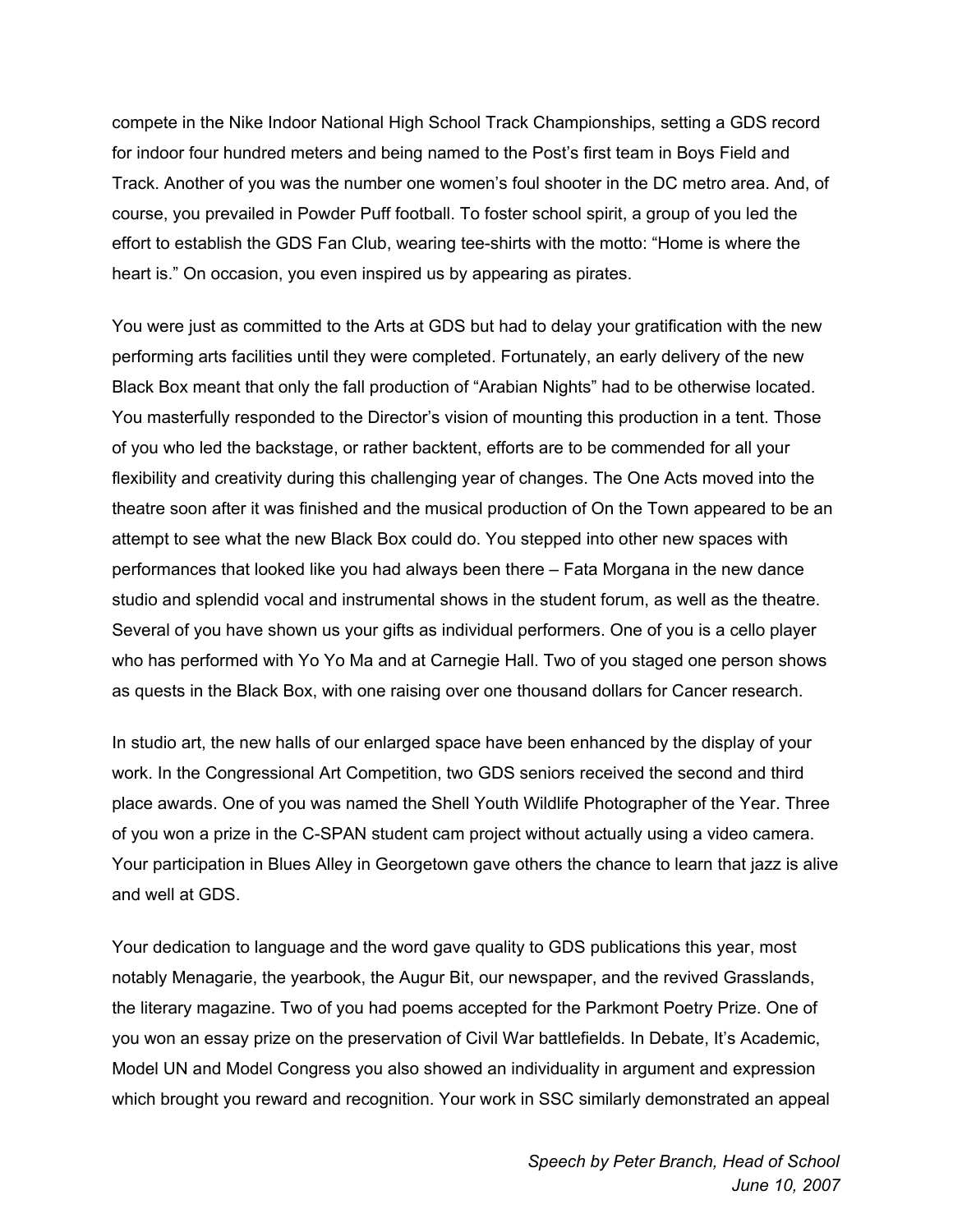compete in the Nike Indoor National High School Track Championships, setting a GDS record for indoor four hundred meters and being named to the Post's first team in Boys Field and Track. Another of you was the number one women's foul shooter in the DC metro area. And, of course, you prevailed in Powder Puff football. To foster school spirit, a group of you led the effort to establish the GDS Fan Club, wearing tee-shirts with the motto: "Home is where the heart is." On occasion, you even inspired us by appearing as pirates.

You were just as committed to the Arts at GDS but had to delay your gratification with the new performing arts facilities until they were completed. Fortunately, an early delivery of the new Black Box meant that only the fall production of "Arabian Nights" had to be otherwise located. You masterfully responded to the Director's vision of mounting this production in a tent. Those of you who led the backstage, or rather backtent, efforts are to be commended for all your flexibility and creativity during this challenging year of changes. The One Acts moved into the theatre soon after it was finished and the musical production of On the Town appeared to be an attempt to see what the new Black Box could do. You stepped into other new spaces with performances that looked like you had always been there – Fata Morgana in the new dance studio and splendid vocal and instrumental shows in the student forum, as well as the theatre. Several of you have shown us your gifts as individual performers. One of you is a cello player who has performed with Yo Yo Ma and at Carnegie Hall. Two of you staged one person shows as quests in the Black Box, with one raising over one thousand dollars for Cancer research.

In studio art, the new halls of our enlarged space have been enhanced by the display of your work. In the Congressional Art Competition, two GDS seniors received the second and third place awards. One of you was named the Shell Youth Wildlife Photographer of the Year. Three of you won a prize in the C-SPAN student cam project without actually using a video camera. Your participation in Blues Alley in Georgetown gave others the chance to learn that jazz is alive and well at GDS.

Your dedication to language and the word gave quality to GDS publications this year, most notably Menagarie, the yearbook, the Augur Bit, our newspaper, and the revived Grasslands, the literary magazine. Two of you had poems accepted for the Parkmont Poetry Prize. One of you won an essay prize on the preservation of Civil War battlefields. In Debate, It's Academic, Model UN and Model Congress you also showed an individuality in argument and expression which brought you reward and recognition. Your work in SSC similarly demonstrated an appeal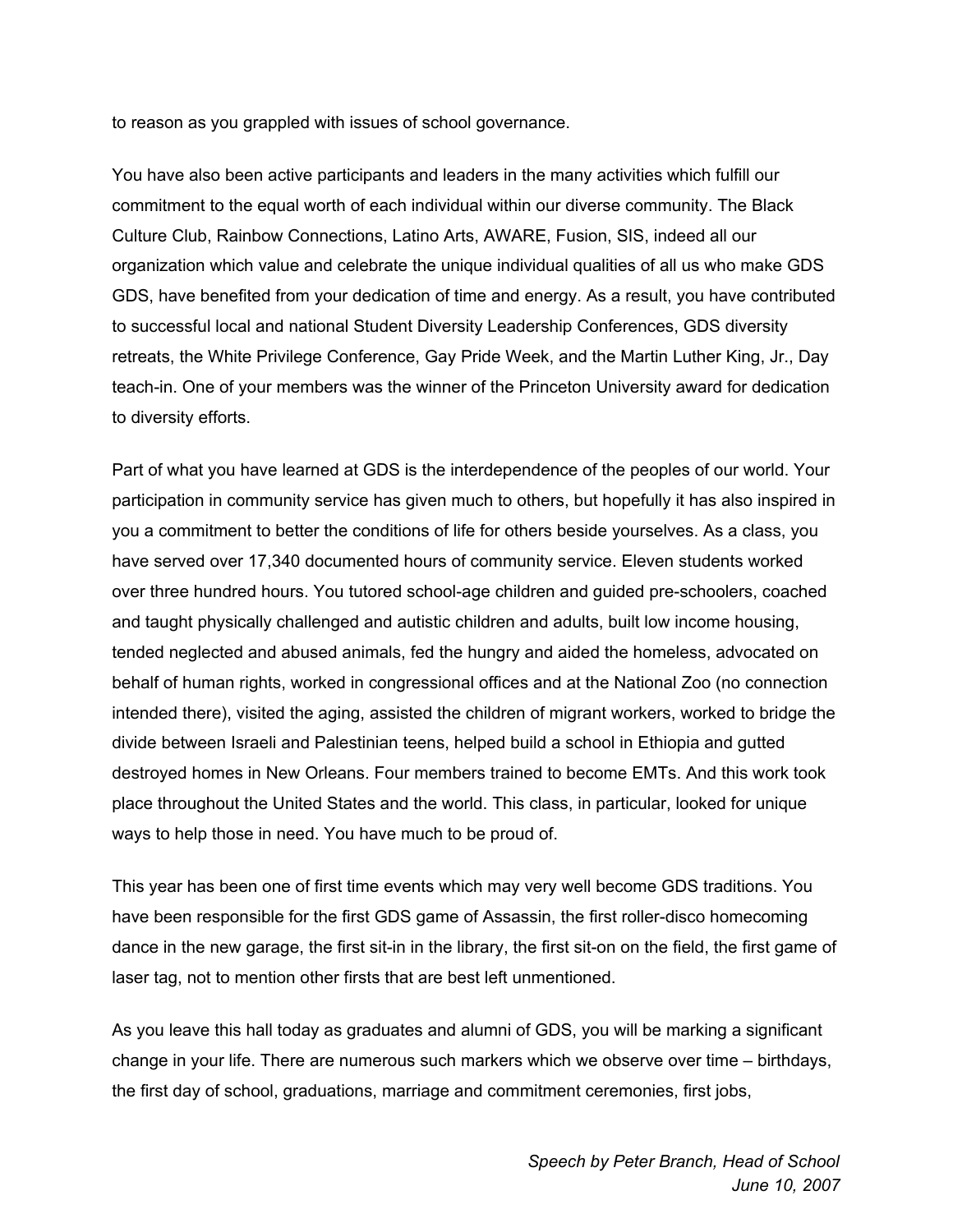to reason as you grappled with issues of school governance.

You have also been active participants and leaders in the many activities which fulfill our commitment to the equal worth of each individual within our diverse community. The Black Culture Club, Rainbow Connections, Latino Arts, AWARE, Fusion, SIS, indeed all our organization which value and celebrate the unique individual qualities of all us who make GDS GDS, have benefited from your dedication of time and energy. As a result, you have contributed to successful local and national Student Diversity Leadership Conferences, GDS diversity retreats, the White Privilege Conference, Gay Pride Week, and the Martin Luther King, Jr., Day teach-in. One of your members was the winner of the Princeton University award for dedication to diversity efforts.

Part of what you have learned at GDS is the interdependence of the peoples of our world. Your participation in community service has given much to others, but hopefully it has also inspired in you a commitment to better the conditions of life for others beside yourselves. As a class, you have served over 17,340 documented hours of community service. Eleven students worked over three hundred hours. You tutored school-age children and guided pre-schoolers, coached and taught physically challenged and autistic children and adults, built low income housing, tended neglected and abused animals, fed the hungry and aided the homeless, advocated on behalf of human rights, worked in congressional offices and at the National Zoo (no connection intended there), visited the aging, assisted the children of migrant workers, worked to bridge the divide between Israeli and Palestinian teens, helped build a school in Ethiopia and gutted destroyed homes in New Orleans. Four members trained to become EMTs. And this work took place throughout the United States and the world. This class, in particular, looked for unique ways to help those in need. You have much to be proud of.

This year has been one of first time events which may very well become GDS traditions. You have been responsible for the first GDS game of Assassin, the first roller-disco homecoming dance in the new garage, the first sit-in in the library, the first sit-on on the field, the first game of laser tag, not to mention other firsts that are best left unmentioned.

As you leave this hall today as graduates and alumni of GDS, you will be marking a significant change in your life. There are numerous such markers which we observe over time – birthdays, the first day of school, graduations, marriage and commitment ceremonies, first jobs,